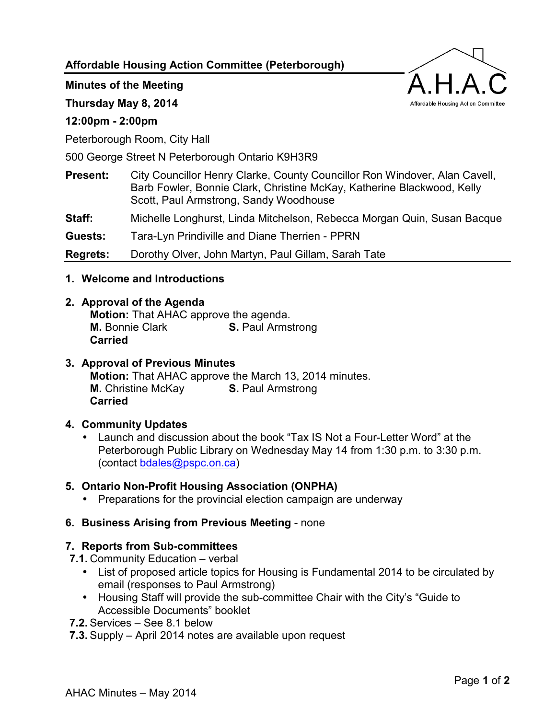**Affordable Housing Action Committee (Peterborough)** 

**Minutes of the Meeting** 

**Thursday May 8, 2014** 

# **12:00pm - 2:00pm**

Peterborough Room, City Hall

500 George Street N Peterborough Ontario K9H3R9

**Present:** City Councillor Henry Clarke, County Councillor Ron Windover, Alan Cavell, Barb Fowler, Bonnie Clark, Christine McKay, Katherine Blackwood, Kelly Scott, Paul Armstrong, Sandy Woodhouse

**Staff:** Michelle Longhurst, Linda Mitchelson, Rebecca Morgan Quin, Susan Bacque

**Guests:** Tara-Lyn Prindiville and Diane Therrien - PPRN

**Regrets:** Dorothy Olver, John Martyn, Paul Gillam, Sarah Tate

**1. Welcome and Introductions** 

#### **2. Approval of the Agenda**

**Motion:** That AHAC approve the agenda. **M.** Bonnie Clark **S.** Paul Armstrong **Carried**

# **3. Approval of Previous Minutes**

**Motion:** That AHAC approve the March 13, 2014 minutes. **M.** Christine McKay **S.** Paul Armstrong **Carried**

# **4. Community Updates**

• Launch and discussion about the book "Tax IS Not a Four-Letter Word" at the Peterborough Public Library on Wednesday May 14 from 1:30 p.m. to 3:30 p.m. (contact [bdales@pspc.on.ca\)](mailto:bdales@pspc.on.ca)

# **5. Ontario Non-Profit Housing Association (ONPHA)**

• Preparations for the provincial election campaign are underway

# **6. Business Arising from Previous Meeting** - none

# **7. Reports from Sub-committees**

**7.1.** Community Education – verbal

- List of proposed article topics for Housing is Fundamental 2014 to be circulated by email (responses to Paul Armstrong)
- Housing Staff will provide the sub-committee Chair with the City's "Guide to Accessible Documents" booklet
- **7.2.** Services See 8.1 below
- **7.3.** Supply April 2014 notes are available upon request